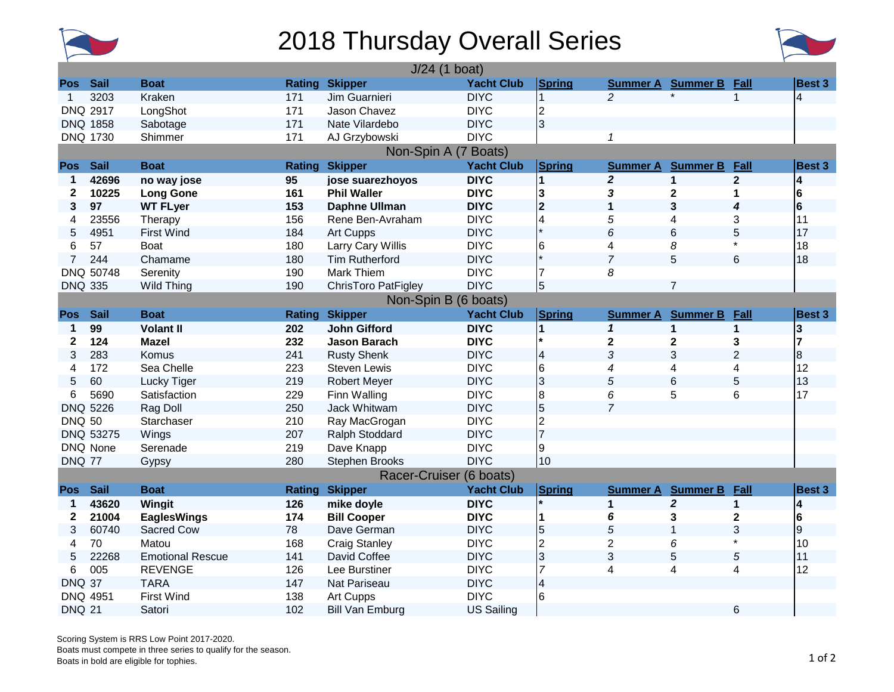

## 2018 Thursday Overall Series



|                      | $J/24$ (1 boat)      |                         |               |                            |                   |                |                 |                          |                |                         |  |
|----------------------|----------------------|-------------------------|---------------|----------------------------|-------------------|----------------|-----------------|--------------------------|----------------|-------------------------|--|
| Pos                  | <b>Sail</b>          | <b>Boat</b>             |               | <b>Rating Skipper</b>      | <b>Yacht Club</b> | Spring         |                 | <b>Summer A</b> Summer B | Fall           | Best 3                  |  |
| 1                    | 3203                 | Kraken                  | 171           | Jim Guarnieri              | <b>DIYC</b>       | $\overline{1}$ | $\overline{2}$  | $\star$                  | $\mathbf{1}$   | $\overline{4}$          |  |
|                      | <b>DNQ 2917</b>      | LongShot                | 171           | Jason Chavez               | <b>DIYC</b>       | $\overline{2}$ |                 |                          |                |                         |  |
|                      | <b>DNQ 1858</b>      | Sabotage                | 171           | Nate Vilardebo             | <b>DIYC</b>       | 3              |                 |                          |                |                         |  |
|                      | <b>DNQ 1730</b>      | Shimmer                 | 171           | AJ Grzybowski              | <b>DIYC</b>       |                | 1               |                          |                |                         |  |
| Non-Spin A (7 Boats) |                      |                         |               |                            |                   |                |                 |                          |                |                         |  |
| <b>Pos</b>           | <b>Sail</b>          | <b>Boat</b>             | Rating        | <b>Skipper</b>             | <b>Yacht Club</b> | Spring         | <b>Summer A</b> | <b>Summer B</b>          | Fall           | <b>Best 3</b>           |  |
| 1                    | 42696                | no way jose             | 95            | jose suarezhoyos           | <b>DIYC</b>       | $\overline{1}$ | $\overline{2}$  | $\mathbf{1}$             | $\overline{2}$ | 4                       |  |
| $\mathbf{2}$         | 10225                | <b>Long Gone</b>        | 161           | <b>Phil Waller</b>         | <b>DIYC</b>       | 3              | 3               | 2                        | 1              | 6                       |  |
| 3                    | 97                   | <b>WT FLyer</b>         | 153           | <b>Daphne Ullman</b>       | <b>DIYC</b>       | 2              | 1               | 3                        | 4              | 6                       |  |
| 4                    | 23556                | Therapy                 | 156           | Rene Ben-Avraham           | <b>DIYC</b>       | $\overline{4}$ | 5               | 4                        | 3              | 11                      |  |
| 5                    | 4951                 | <b>First Wind</b>       | 184           | Art Cupps                  | <b>DIYC</b>       |                | 6               | 6                        | 5              | 17                      |  |
| 6                    | 57                   | Boat                    | 180           | Larry Cary Willis          | <b>DIYC</b>       | 6              | 4               | 8                        |                | 18                      |  |
| 7                    | 244                  | Chamame                 | 180           | <b>Tim Rutherford</b>      | <b>DIYC</b>       |                | $\overline{7}$  | 5                        | 6              | 18                      |  |
|                      | DNQ 50748            | Serenity                | 190           | <b>Mark Thiem</b>          | <b>DIYC</b>       | 17             | 8               |                          |                |                         |  |
| <b>DNQ 335</b>       |                      | Wild Thing              | 190           | <b>ChrisToro PatFigley</b> | <b>DIYC</b>       | 5              |                 | $\overline{7}$           |                |                         |  |
|                      | Non-Spin B (6 boats) |                         |               |                            |                   |                |                 |                          |                |                         |  |
| <b>Pos</b>           | <b>Sail</b>          | <b>Boat</b>             | <b>Rating</b> | <b>Skipper</b>             | <b>Yacht Club</b> | Spring         | <b>Summer A</b> | <b>Summer B</b>          | Fall           | <b>Best 3</b>           |  |
| 1                    | 99                   | <b>Volant II</b>        | 202           | <b>John Gifford</b>        | <b>DIYC</b>       | $\overline{1}$ | $\mathbf{1}$    | $\mathbf{1}$             | $\mathbf{1}$   | 3                       |  |
| 2                    | 124                  | <b>Mazel</b>            | 232           | <b>Jason Barach</b>        | <b>DIYC</b>       |                | $\mathbf 2$     | 2                        | 3              |                         |  |
| 3                    | 283                  | Komus                   | 241           | <b>Rusty Shenk</b>         | <b>DIYC</b>       | $\overline{4}$ | 3               | 3                        | $\overline{2}$ | $\overline{8}$          |  |
| 4                    | 172                  | Sea Chelle              | 223           | <b>Steven Lewis</b>        | <b>DIYC</b>       | 6              | 4               | 4                        | 4              | 12                      |  |
| 5                    | 60                   | Lucky Tiger             | 219           | <b>Robert Meyer</b>        | <b>DIYC</b>       | 3              | 5               | 6                        | 5              | 13                      |  |
| 6                    | 5690                 | Satisfaction            | 229           | Finn Walling               | <b>DIYC</b>       | 8              | 6               | 5                        | 6              | 17                      |  |
| <b>DNQ</b>           | 5226                 | Rag Doll                | 250           | Jack Whitwam               | <b>DIYC</b>       | 5              | $\overline{7}$  |                          |                |                         |  |
| <b>DNQ 50</b>        |                      | Starchaser              | 210           | Ray MacGrogan              | <b>DIYC</b>       | $\overline{2}$ |                 |                          |                |                         |  |
|                      | DNQ 53275            | Wings                   | 207           | Ralph Stoddard             | <b>DIYC</b>       | 7              |                 |                          |                |                         |  |
|                      | DNQ None             | Serenade                | 219           | Dave Knapp                 | <b>DIYC</b>       | 9              |                 |                          |                |                         |  |
| <b>DNQ 77</b>        |                      | Gypsy                   | 280           | <b>Stephen Brooks</b>      | <b>DIYC</b>       | 10             |                 |                          |                |                         |  |
|                      |                      |                         |               | Racer-Cruiser (6 boats)    |                   |                |                 |                          |                |                         |  |
| <b>Pos</b>           | <b>Sail</b>          | <b>Boat</b>             | <b>Rating</b> | <b>Skipper</b>             | <b>Yacht Club</b> | Spring         | <b>Summer A</b> | <b>Summer B</b>          | Fall           | Best 3                  |  |
| 1                    | 43620                | Wingit                  | 126           | mike doyle                 | <b>DIYC</b>       |                | $\mathbf{1}$    | $\overline{2}$           | $\mathbf{1}$   | $\overline{\mathbf{4}}$ |  |
| 2                    | 21004                | <b>EaglesWings</b>      | 174           | <b>Bill Cooper</b>         | <b>DIYC</b>       | 11             | 6               | 3                        | $\mathbf 2$    | 6                       |  |
| 3                    | 60740                | Sacred Cow              | 78            | Dave German                | <b>DIYC</b>       | 5              | 5               | 1                        | 3              | 9                       |  |
| 4                    | 70                   | Matou                   | 168           | <b>Craig Stanley</b>       | <b>DIYC</b>       | $\overline{2}$ | $\overline{2}$  | 6                        |                | 10                      |  |
| 5                    | 22268                | <b>Emotional Rescue</b> | 141           | David Coffee               | <b>DIYC</b>       | 3              | 3               | 5                        | 5              | 11                      |  |
| 6                    | 005                  | <b>REVENGE</b>          | 126           | Lee Burstiner              | <b>DIYC</b>       | $\overline{7}$ | 4               | 4                        | 4              | 12                      |  |
| <b>DNQ 37</b>        |                      | <b>TARA</b>             | 147           | Nat Pariseau               | <b>DIYC</b>       | $\overline{4}$ |                 |                          |                |                         |  |
|                      | DNQ 4951             | <b>First Wind</b>       | 138           | Art Cupps                  | <b>DIYC</b>       | 6              |                 |                          |                |                         |  |
| <b>DNQ 21</b>        |                      | Satori                  | 102           | <b>Bill Van Emburg</b>     | <b>US Sailing</b> |                |                 |                          | 6              |                         |  |

Scoring System is RRS Low Point 2017-2020. Boats must compete in three series to qualify for the season. Boats in bold are eligible for tophies.<br>Boats in bold are eligible for tophies. 1 of 2